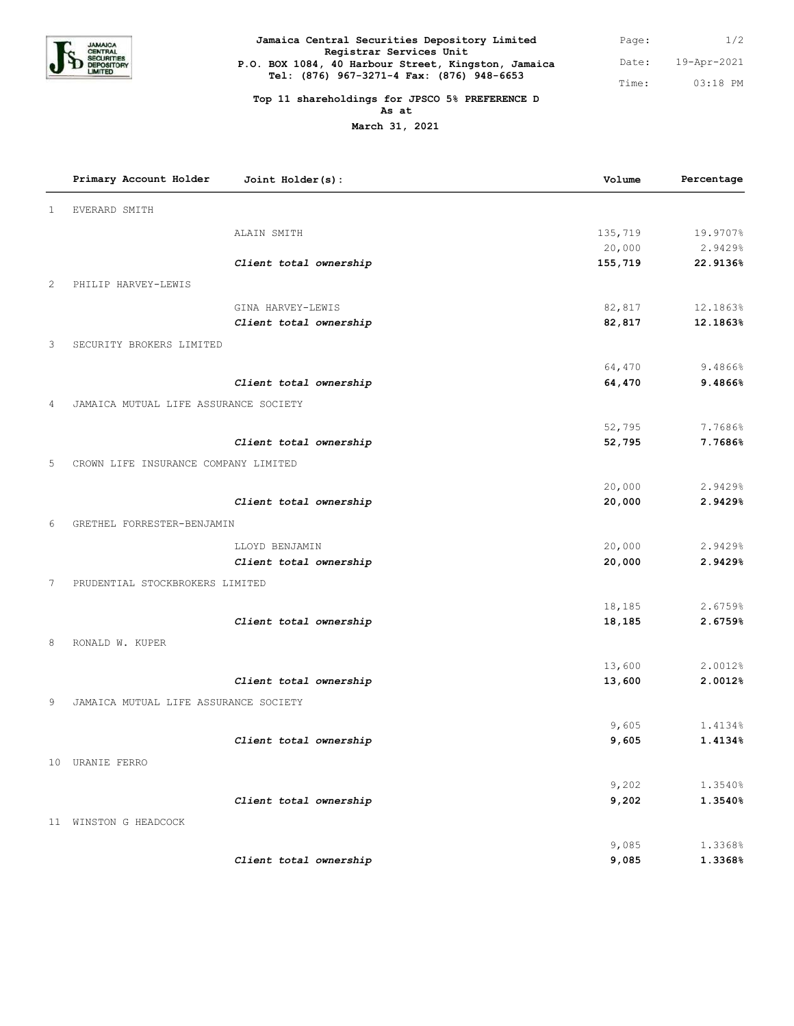

| Jamaica Central Securities Depository Limited                                  | Page: | 1/2         |
|--------------------------------------------------------------------------------|-------|-------------|
| Registrar Services Unit<br>P.O. BOX 1084, 40 Harbour Street, Kingston, Jamaica | Date: | 19-Apr-2021 |
| Tel: (876) 967-3271-4 Fax: (876) 948-6653                                      | Time: | $0.3:18$ PM |

## **Top 11 shareholdings for JPSCO 5% PREFERENCE D As at**

**March 31, 2021**

|   | Primary Account Holder                | Joint Holder(s):       | Volume  | Percentage |
|---|---------------------------------------|------------------------|---------|------------|
| 1 | EVERARD SMITH                         |                        |         |            |
|   |                                       | ALAIN SMITH            | 135,719 | 19.9707%   |
|   |                                       |                        | 20,000  | 2.9429%    |
|   |                                       | Client total ownership | 155,719 | 22.9136%   |
| 2 | PHILIP HARVEY-LEWIS                   |                        |         |            |
|   |                                       | GINA HARVEY-LEWIS      | 82,817  | 12.1863%   |
|   |                                       | Client total ownership | 82,817  | 12.1863%   |
| 3 | SECURITY BROKERS LIMITED              |                        |         |            |
|   |                                       |                        | 64,470  | 9.4866%    |
|   |                                       | Client total ownership | 64,470  | 9.4866%    |
| 4 | JAMAICA MUTUAL LIFE ASSURANCE SOCIETY |                        |         |            |
|   |                                       |                        | 52,795  | 7.7686%    |
|   |                                       | Client total ownership | 52,795  | 7.7686%    |
| 5 | CROWN LIFE INSURANCE COMPANY LIMITED  |                        |         |            |
|   |                                       |                        | 20,000  | 2.9429%    |
|   |                                       | Client total ownership | 20,000  | 2.9429%    |
| 6 | GRETHEL FORRESTER-BENJAMIN            |                        |         |            |
|   |                                       | LLOYD BENJAMIN         | 20,000  | 2.9429%    |
|   |                                       | Client total ownership | 20,000  | 2.9429%    |
| 7 | PRUDENTIAL STOCKBROKERS LIMITED       |                        |         |            |
|   |                                       |                        | 18,185  | 2.6759%    |
|   |                                       | Client total ownership | 18,185  | 2.6759%    |
| 8 | RONALD W. KUPER                       |                        |         |            |
|   |                                       |                        | 13,600  | 2.0012%    |
|   |                                       | Client total ownership | 13,600  | 2.0012%    |
| 9 | JAMAICA MUTUAL LIFE ASSURANCE SOCIETY |                        |         |            |
|   |                                       |                        | 9,605   | 1.4134%    |
|   |                                       | Client total ownership | 9,605   | 1.4134%    |
|   | 10 URANIE FERRO                       |                        |         |            |
|   |                                       |                        | 9,202   | 1.3540%    |
|   |                                       | Client total ownership | 9,202   | 1.3540%    |
|   | 11 WINSTON G HEADCOCK                 |                        |         |            |
|   |                                       |                        | 9,085   | 1.3368%    |
|   |                                       | Client total ownership | 9,085   | 1.3368%    |